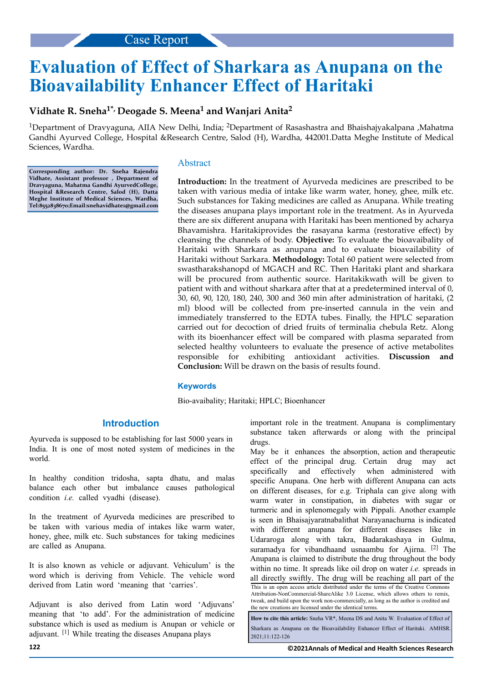# **Evaluation of Effect of Sharkara as Anupana on the Bioavailability Enhancer Effect of Haritaki**

# **Vidhate R. Sneha1\*, Deogade S. Meena<sup>1</sup> and Wanjari Anita<sup>2</sup>**

<sup>1</sup>Department of Dravyaguna, AIIA New Delhi, India; <sup>2</sup>Department of Rasashastra and Bhaishajyakalpana ,Mahatma Gandhi Ayurved College, Hospital &Research Centre, Salod (H), Wardha, 442001.Datta Meghe Institute of Medical Sciences, Wardha.

**Corresponding author: Dr. Sneha Rajendra Vidhate, Assistant professor , Department of Dravyaguna, Mahatma Gandhi AyurvedCollege, Hospital &Research Centre, Salod (H), Datta Meghe Institute of Medical Sciences, Wardha, Tel:8552838670;Email[:snehavidhate1@gmail.c0m](mailto:snehavidhate1@gmail.com)**

### Abstract

**Introduction:** In the treatment of Ayurveda medicines are prescribed to be taken with various media of intake like warm water, honey, ghee, milk etc. Such substances for Taking medicines are called as Anupana. While treating the diseases anupana plays important role in the treatment. As in Ayurveda there are six different anupana with Haritaki has been mentioned by acharya Bhavamishra. Haritakiprovides the rasayana karma (restorative effect) by cleansing the channels of body. **Objective:** To evaluate the bioavaibality of Haritaki with Sharkara as anupana and to evaluate bioavailability of Haritaki without Sarkara. **Methodology:** Total 60 patient were selected from swastharakshanopd of MGACH and RC. Then Haritaki plant and sharkara will be procured from authentic source. Haritakikwath will be given to patient with and without sharkara after that at a predetermined interval of 0, 30, 60, 90, 120, 180, 240, 300 and 360 min after administration of haritaki, (2 ml) blood will be collected from pre-inserted cannula in the vein and immediately transferred to the EDTA tubes. Finally, the HPLC separation carried out for decoction of dried fruits of terminalia chebula Retz. Along with its bioenhancer effect will be compared with plasma separated from selected healthy volunteers to evaluate the presence of active metabolites responsible for exhibiting antioxidant activities. Discussion **Conclusion:** Will be drawn on the basis of results found.

## **Keywords**

Bio-avaibality; Haritaki; HPLC; Bioenhancer

# **Introduction**

Ayurveda is supposed to be establishing for last 5000 years in India. It is one of most noted system of medicines in the world.

In healthy condition tridosha, sapta dhatu, and malas balance each other but imbalance causes pathological condition *i.e.* called vyadhi (disease).

In the treatment of Ayurveda medicines are prescribed to be taken with various media of intakes like warm water, honey, ghee, milk etc. Such substances for taking medicines are called as Anupana.

It is also known as vehicle or adjuvant. Vehiculum' is the word which is deriving from Vehicle. The vehicle word derived from Latin word 'meaning that 'carries'.

Adjuvant is also derived from Latin word 'Adjuvans' meaning that 'to add'. For the administration of medicine substance which is used as medium is Anupan or vehicle or adjuvant. [1] While treating the diseases Anupana plays

important role in the treatment. Anupana is complimentary substance taken afterwards or along with the principal drugs.

May be it enhances the absorption, action and therapeutic effect of the principal drug. Certain drug may act specifically and effectively when administered with specific Anupana. One herb with different Anupana can acts on different diseases, for e.g. Triphala can give along with warm water in constipation, in diabetes with sugar or turmeric and in splenomegaly with Pippali. Another example is seen in Bhaisajyaratnabalithat Narayanachurna is indicated with different anupana for different diseases like in Udararoga along with takra, Badarakashaya in Gulma, suramadya for vibandhaand usnaambu for Ajirna. [2] The Anupana is claimed to distribute the drug throughout the body within no time. It spreads like oil drop on water *i.e.* spreads in all directly swiftly. The drug will be reaching all part of the This is an open access article distributed under the terms of the Creative Commons Attribution‑NonCommercial‑ShareAlike 3.0 License, which allows others to remix, tweak, and build upon the work non‑commercially, as long as the author is credited and the new creations are licensed under the identical terms.

**How to cite this article:** Sneha VR\*, Meena DS and Anita W. Evaluation of Effect of Sharkara as Anupana on the Bioavailability Enhancer Effect of Haritaki. AMHSR. 2021;11:122-126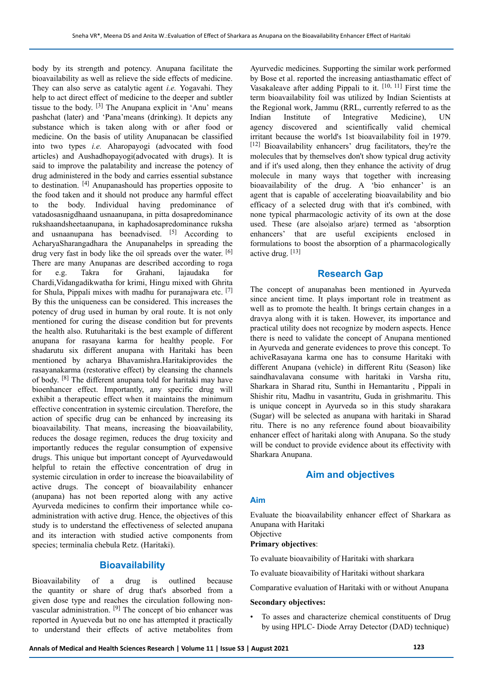body by its strength and potency. Anupana facilitate the bioavailability as well as relieve the side effects of medicine. They can also serve as catalytic agent *i.e.* Yogavahi. They help to act direct effect of medicine to the deeper and subtler tissue to the body. [3] The Anupana explicit in 'Anu' means pashchat (later) and 'Pana'means (drinking). It depicts any substance which is taken along with or after food or medicine. On the basis of utility Anupanacan be classified into two types *i.e.* Aharopayogi (advocated with food articles) and Aushadhopayogi(advocated with drugs). It is said to improve the palatability and increase the potency of drug administered in the body and carries essential substance to destination. [4] Anupanashould has properties opposite to the food taken and it should not produce any harmful effect to the body. Individual having predominance of vatadosasnigdhaand usnaanupana, in pitta dosapredominance rukshaandsheetaanupana, in kaphadosapredominance ruksha and usnaanupana has beenadvised. [5] According to AcharyaSharangadhara the Anupanahelps in spreading the drug very fast in body like the oil spreads over the water. [6] There are many Anupanas are described according to roga for e.g. Takra for Grahani, lajaudaka for Chardi,Vidangadikwatha for krimi, Hingu mixed with Ghrita for Shula, Pippali mixes with madhu for puranajwara etc. [7] By this the uniqueness can be considered. This increases the potency of drug used in human by oral route. It is not only mentioned for curing the disease condition but for prevents the health also. Rutuharitaki is the best example of different anupana for rasayana karma for healthy people. For shadarutu six different anupana with Haritaki has been mentioned by acharya Bhavamishra.Haritakiprovides the rasayanakarma (restorative effect) by cleansing the channels of body. <sup>[8]</sup> The different anupana told for haritaki may have bioenhancer effect. Importantly, any specific drug will exhibit a therapeutic effect when it maintains the minimum effective concentration in systemic circulation. Therefore, the action of specific drug can be enhanced by increasing its bioavailability. That means, increasing the bioavailability, reduces the dosage regimen, reduces the drug toxicity and importantly reduces the regular consumption of expensive drugs. This unique but important concept of Ayurvedawould helpful to retain the effective concentration of drug in systemic circulation in order to increase the bioavailability of active drugs. The concept of bioavailability enhancer (anupana) has not been reported along with any active Ayurveda medicines to confirm their importance while coadministration with active drug. Hence, the objectives of this study is to understand the effectiveness of selected anupana and its interaction with studied active components from species; terminalia chebula Retz. (Haritaki).

# **Bioavailability**

Bioavailability of a drug is outlined because the quantity or share of drug that's absorbed from a given dose type and reaches the circulation following nonvascular administration. [9] The concept of bio enhancer was reported in Ayueveda but no one has attempted it practically to understand their effects of active metabolites from Ayurvedic medicines. Supporting the similar work performed by Bose et al. reported the increasing antiasthamatic effect of Vasakaleave after adding Pippali to it.  $[10, 11]$  First time the term bioavailability foil was utilized by Indian Scientists at the Regional work, Jammu (RRL, currently referred to as the Indian Institute of Integrative Medicine), UN agency discovered and scientifically valid chemical irritant because the world's 1st bioavailability foil in 1979. [12] Bioavailability enhancers' drug facilitators, they're the molecules that by themselves don't show typical drug activity and if it's used along, then they enhance the activity of drug molecule in many ways that together with increasing bioavailability of the drug. A 'bio enhancer' is an agent that is capable of accelerating bioavailability and bio efficacy of a selected drug with that it's combined, with none typical pharmacologic activity of its own at the dose used. These (are also|also ar|are) termed as 'absorption enhancers' that are useful excipients enclosed in formulations to boost the absorption of a pharmacologically active drug. [13]

## **Research Gap**

The concept of anupanahas been mentioned in Ayurveda since ancient time. It plays important role in treatment as well as to promote the health. It brings certain changes in a dravya along with it is taken. However, its importance and practical utility does not recognize by modern aspects. Hence there is need to validate the concept of Anupana mentioned in Ayurveda and generate evidences to prove this concept. To achiveRasayana karma one has to consume Haritaki with different Anupana (vehicle) in different Ritu (Season) like saindhavalavana consume with haritaki in Varsha ritu, Sharkara in Sharad ritu, Sunthi in Hemantaritu , Pippali in Shishir ritu, Madhu in vasantritu, Guda in grishmaritu. This is unique concept in Ayurveda so in this study sharakara (Sugar) will be selected as anupana with haritaki in Sharad ritu. There is no any reference found about bioavaibility enhancer effect of haritaki along with Anupana. So the study will be conduct to provide evidence about its effectivity with Sharkara Anupana.

## **Aim and objectives**

#### **Aim**

Evaluate the bioavailability enhancer effect of Sharkara as Anupana with Haritaki Objective

# **Primary objectives**:

To evaluate bioavaibility of Haritaki with sharkara

To evaluate bioavaibility of Haritaki without sharkara

Comparative evaluation of Haritaki with or without Anupana

#### **Secondary objectives:**

To asses and characterize chemical constituents of Drug by using HPLC- Diode Array Detector (DAD) technique)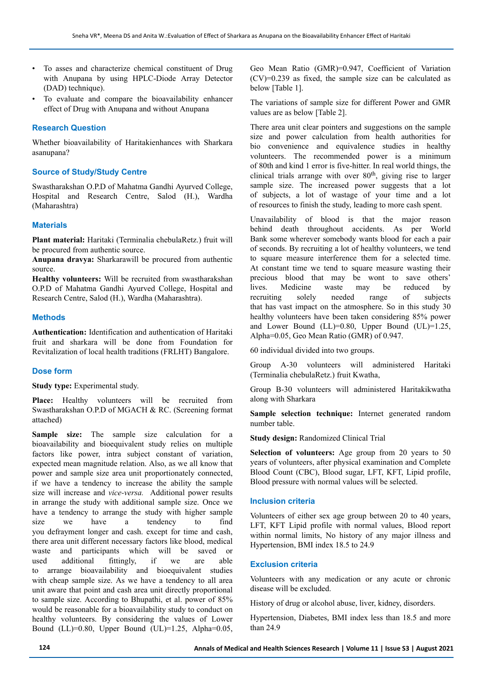- To asses and characterize chemical constituent of Drug with Anupana by using HPLC-Diode Array Detector (DAD) technique).
- To evaluate and compare the bioavailability enhancer effect of Drug with Anupana and without Anupana

## **Research Question**

Whether bioavailability of Haritakienhances with Sharkara asanupana?

## **Source of Study/Study Centre**

Swastharakshan O.P.D of Mahatma Gandhi Ayurved College, Hospital and Research Centre, Salod (H.), Wardha (Maharashtra)

## **Materials**

**Plant material:** Haritaki (Terminalia chebulaRetz.) fruit will be procured from authentic source.

**Anupana dravya:** Sharkarawill be procured from authentic source.

**Healthy volunteers:** Will be recruited from swastharakshan O.P.D of Mahatma Gandhi Ayurved College, Hospital and Research Centre, Salod (H.), Wardha (Maharashtra).

### **Methods**

**Authentication:** Identification and authentication of Haritaki fruit and sharkara will be done from Foundation for Revitalization of local health traditions (FRLHT) Bangalore.

#### **Dose form**

**Study type:** Experimental study.

**Place:** Healthy volunteers will be recruited from Swastharakshan O.P.D of MGACH & RC. (Screening format attached)

**Sample size:** The sample size calculation for a bioavailability and bioequivalent study relies on multiple factors like power, intra subject constant of variation, expected mean magnitude relation. Also, as we all know that power and sample size area unit proportionately connected, if we have a tendency to increase the ability the sample size will increase and *vice-versa.* Additional power results in arrange the study with additional sample size. Once we have a tendency to arrange the study with higher sample size we have a tendency to find you defrayment longer and cash. except for time and cash, there area unit different necessary factors like blood, medical waste and participants which will be saved or used additional fittingly, if we are able to arrange bioavailability and bioequivalent studies with cheap sample size. As we have a tendency to all area unit aware that point and cash area unit directly proportional to sample size. According to Bhupathi, et al. power of 85% would be reasonable for a bioavailability study to conduct on healthy volunteers. By considering the values of Lower Bound (LL)= $0.80$ , Upper Bound (UL)= $1.25$ , Alpha= $0.05$ ,

Geo Mean Ratio (GMR)=0.947, Coefficient of Variation (CV)=0.239 as fixed, the sample size can be calculated as below [Table 1].

The variations of sample size for different Power and GMR values are as below [Table 2].

There area unit clear pointers and suggestions on the sample size and power calculation from health authorities for bio convenience and equivalence studies in healthy volunteers. The recommended power is a minimum of 80th and kind 1 error is five-hitter. In real world things, the clinical trials arrange with over 80<sup>th</sup>, giving rise to larger sample size. The increased power suggests that a lot of subjects, a lot of wastage of your time and a lot of resources to finish the study, leading to more cash spent.

Unavailability of blood is that the major reason behind death throughout accidents. As per World Bank some wherever somebody wants blood for each a pair of seconds. By recruiting a lot of healthy volunteers, we tend to square measure interference them for a selected time. At constant time we tend to square measure wasting their precious blood that may be wont to save others' lives. Medicine waste may be reduced by recruiting solely needed range of subjects that has vast impact on the atmosphere. So in this study 30 healthy volunteers have been taken considering 85% power and Lower Bound (LL)=0.80, Upper Bound (UL)=1.25, Alpha=0.05, Geo Mean Ratio (GMR) of 0.947.

60 individual divided into two groups.

Group A-30 volunteers will administered Haritaki (Terminalia chebulaRetz.) fruit Kwatha,

Group B-30 volunteers will administered Haritakikwatha along with Sharkara

**Sample selection technique:** Internet generated random number table.

**Study design:** Randomized Clinical Trial

**Selection of volunteers:** Age group from 20 years to 50 years of volunteers, after physical examination and Complete Blood Count (CBC), Blood sugar, LFT, KFT, Lipid profile, Blood pressure with normal values will be selected.

### **Inclusion criteria**

Volunteers of either sex age group between 20 to 40 years, LFT, KFT Lipid profile with normal values, Blood report within normal limits, No history of any major illness and Hypertension, BMI index 18.5 to 24.9

### **Exclusion criteria**

Volunteers with any medication or any acute or chronic disease will be excluded.

History of drug or alcohol abuse, liver, kidney, disorders.

Hypertension, Diabetes, BMI index less than 18.5 and more than 24.9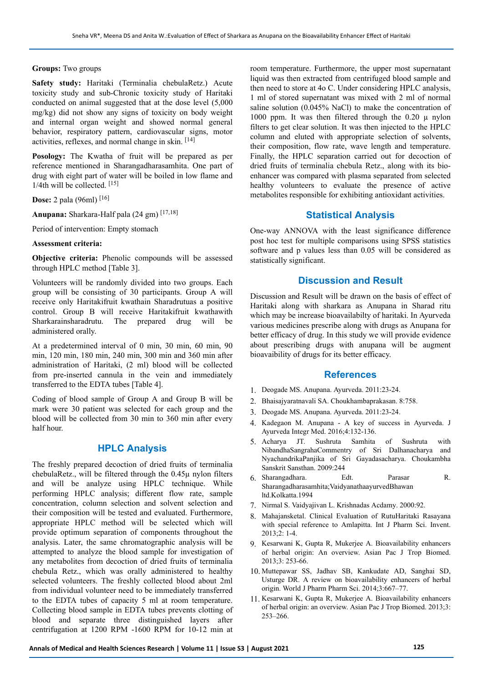#### **Groups:** Two groups

**Safety study:** Haritaki (Terminalia chebulaRetz.) Acute toxicity study and sub-Chronic toxicity study of Haritaki conducted on animal suggested that at the dose level (5,000 mg/kg) did not show any signs of toxicity on body weight and internal organ weight and showed normal general behavior, respiratory pattern, cardiovascular signs, motor activities, reflexes, and normal change in skin. [14]

**Posology:** The Kwatha of fruit will be prepared as per reference mentioned in Sharangadharasamhita. One part of drug with eight part of water will be boiled in low flame and 1/4th will be collected. [15]

**Dose:** 2 pala (96ml) [16]

**Anupana:** Sharkara-Half pala (24 gm) [17,18]

Period of intervention: Empty stomach

#### **Assessment criteria:**

**Objective criteria:** Phenolic compounds will be assessed through HPLC method [Table 3].

Volunteers will be randomly divided into two groups. Each group will be consisting of 30 participants. Group A will receive only Haritakifruit kwathain Sharadrutuas a positive control. Group B will receive Haritakifruit kwathawith Sharkarainsharadrutu. The prepared drug will be administered orally.

At a predetermined interval of 0 min, 30 min, 60 min, 90 min, 120 min, 180 min, 240 min, 300 min and 360 min after administration of Haritaki, (2 ml) blood will be collected from pre-inserted cannula in the vein and immediately transferred to the EDTA tubes [Table 4].

Coding of blood sample of Group A and Group B will be mark were 30 patient was selected for each group and the blood will be collected from 30 min to 360 min after every half hour.

# **HPLC Analysis**

The freshly prepared decoction of dried fruits of terminalia chebulaRetz., will be filtered through the 0.45µ nylon filters and will be analyze using HPLC technique. While performing HPLC analysis; different flow rate, sample concentration, column selection and solvent selection and their composition will be tested and evaluated. Furthermore, appropriate HPLC method will be selected which will provide optimum separation of components throughout the analysis. Later, the same chromatographic analysis will be attempted to analyze the blood sample for investigation of any metabolites from decoction of dried fruits of terminalia chebula Retz., which was orally administered to healthy selected volunteers. The freshly collected blood about 2ml from individual volunteer need to be immediately transferred to the EDTA tubes of capacity 5 ml at room temperature. Collecting blood sample in EDTA tubes prevents clotting of blood and separate three distinguished layers after centrifugation at 1200 RPM -1600 RPM for 10-12 min at

room temperature. Furthermore, the upper most supernatant liquid was then extracted from centrifuged blood sample and then need to store at 4o C. Under considering HPLC analysis, 1 ml of stored supernatant was mixed with 2 ml of normal saline solution (0.045% NaCl) to make the concentration of 1000 ppm. It was then filtered through the  $0.20 \mu$  nylon filters to get clear solution. It was then injected to the HPLC column and eluted with appropriate selection of solvents, their composition, flow rate, wave length and temperature. Finally, the HPLC separation carried out for decoction of dried fruits of terminalia chebula Retz., along with its bioenhancer was compared with plasma separated from selected healthy volunteers to evaluate the presence of active metabolites responsible for exhibiting antioxidant activities.

### **Statistical Analysis**

One-way ANNOVA with the least significance difference post hoc test for multiple comparisons using SPSS statistics software and p values less than 0.05 will be considered as statistically significant.

# **Discussion and Result**

Discussion and Result will be drawn on the basis of effect of Haritaki along with sharkara as Anupana in Sharad ritu which may be increase bioavailabilty of haritaki. In Ayurveda various medicines prescribe along with drugs as Anupana for better efficacy of drug. In this study we will provide evidence about prescribing drugs with anupana will be augment bioavaibility of drugs for its better efficacy.

#### **References**

- 1. Deogade MS. Anupana. Ayurveda. 2011:23-24.
- 2. Bhaisajyaratnavali SA. Choukhambaprakasan. 8:758.
- 3. Deogade MS. Anupana. Ayurveda. 2011:23-24.
- 4. Kadegaon M. Anupana A key of success in Ayurveda. J Ayurveda Integr Med. 2016;4:132-136.
- 5. Acharya JT. Sushruta Samhita of Sushruta with NibandhaSangrahaCommentry of Sri Dalhanacharya and NyachandrikaPanjika of Sri Gayadasacharya. Choukambha Sanskrit Sansthan. 2009:244
- 6. Sharangadhara. Edt. Parasar R. Sharangadharasamhita;VaidyanathaayurvedBhawan ltd.Kolkatta.1994
- 7. Nirmal S. Vaidyajivan L. Krishnadas Acdamy. 2000:92.
- 8. Mahajansketal. Clinical Evaluation of RutuHaritaki Rasayana with special reference to Amlapitta. Int J Pharm Sci. Invent. 2013;2: 1-4.
- 9. Kesarwani K, Gupta R, Mukerjee A. Bioavailability enhancers of herbal origin: An overview. Asian Pac J Trop Biomed. 2013;3: 253-66.
- 10. Muttepawar SS, Jadhav SB, Kankudate AD, Sanghai SD, Usturge DR. A review on bioavailability enhancers of herbal origin. World J Pharm Pharm Sci. 2014;3:667–77.
- 11. Kesarwani K, Gupta R, Mukerjee A. Bioavailability enhancers of herbal origin: an overview. Asian Pac J Trop Biomed. 2013;3: 253–266.